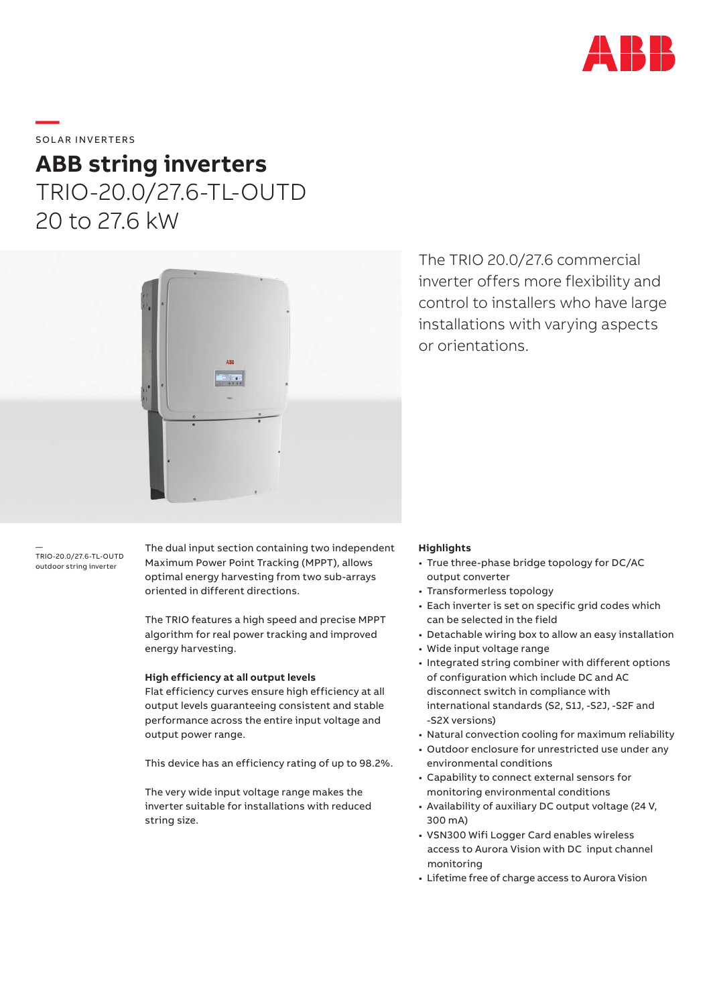

# SOLAR INVERTERS

**—** 

# **ABB string inverters** TRIO-20.0/27.6-TL-OUTD 20 to 27.6 kW



The TRIO 20.0/27.6 commercial inverter offers more flexibility and control to installers who have large installations with varying aspects or orientations.

— TRIO-20.0/27.6-TL-OUTD outdoor string inverter

The dual input section containing two independent Maximum Power Point Tracking (MPPT), allows optimal energy harvesting from two sub-arrays oriented in different directions.

The TRIO features a high speed and precise MPPT algorithm for real power tracking and improved energy harvesting.

### **High efficiency at all output levels**

Flat efficiency curves ensure high efficiency at all output levels guaranteeing consistent and stable performance across the entire input voltage and output power range.

This device has an efficiency rating of up to 98.2%.

The very wide input voltage range makes the inverter suitable for installations with reduced string size.

# **Highlights**

- True three-phase bridge topology for DC/AC output converter
- Transformerless topology
- Each inverter is set on specific grid codes which can be selected in the field
- Detachable wiring box to allow an easy installation
- Wide input voltage range
- Integrated string combiner with different options of configuration which include DC and AC disconnect switch in compliance with international standards (S2, S1J, -S2J, -S2F and -S2X versions)
- Natural convection cooling for maximum reliability
- Outdoor enclosure for unrestricted use under any environmental conditions
- Capability to connect external sensors for monitoring environmental conditions
- Availability of auxiliary DC output voltage (24 V, 300 mA)
- VSN300 Wifi Logger Card enables wireless access to Aurora Vision with DC input channel monitoring
- Lifetime free of charge access to Aurora Vision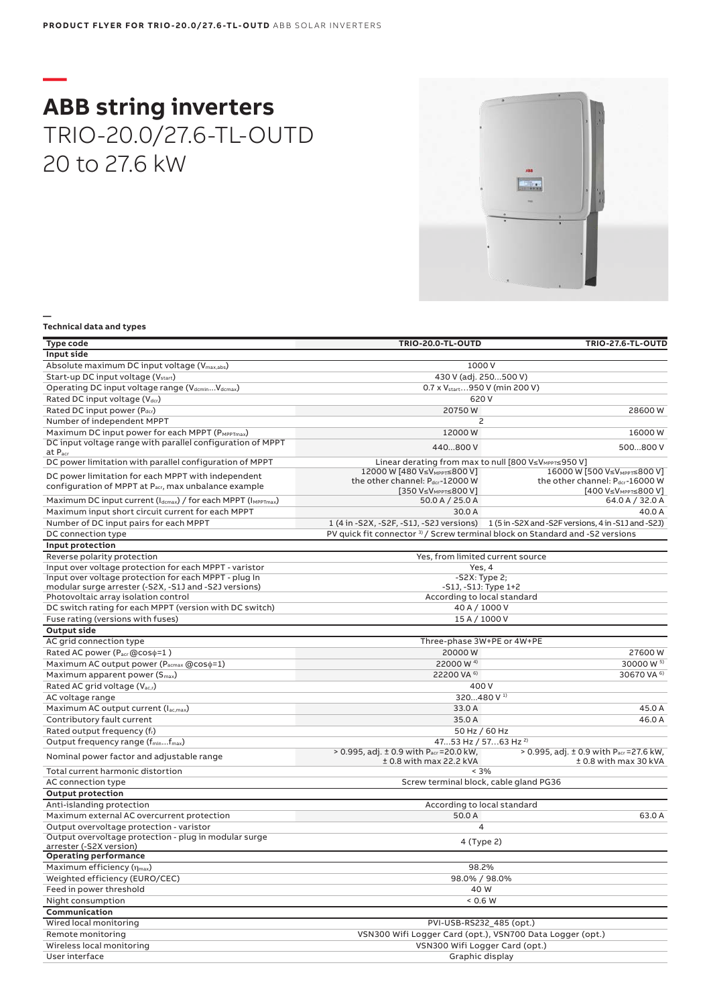# **— ABB string inverters** TRIO-20.0/27.6-TL-OUTD 20 to 27.6 kW

### **Technical data and types**

**—**

| Type code                                                                      | <b>TRIO-20.0-TL-OUTD</b>                                                                                                            | <b>TRIO-27.6-TL-OUTD</b>                                                                     |  |
|--------------------------------------------------------------------------------|-------------------------------------------------------------------------------------------------------------------------------------|----------------------------------------------------------------------------------------------|--|
| Input side                                                                     |                                                                                                                                     |                                                                                              |  |
| Absolute maximum DC input voltage (V <sub>max,abs</sub> )                      | 1000 V                                                                                                                              |                                                                                              |  |
| Start-up DC input voltage (V <sub>start</sub> )                                | 430 V (adj. 250500 V)                                                                                                               |                                                                                              |  |
| Operating DC input voltage range (VdcminVdcmax)                                | 0.7 x V <sub>start</sub> 950 V (min 200 V)                                                                                          |                                                                                              |  |
| Rated DC input voltage (Vdcr)                                                  |                                                                                                                                     | 620 V                                                                                        |  |
| Rated DC input power (Pdcr)                                                    | 20750W                                                                                                                              | 28600W                                                                                       |  |
| Number of independent MPPT                                                     | 2                                                                                                                                   |                                                                                              |  |
| Maximum DC input power for each MPPT (PMPPTmax)                                | 12000W                                                                                                                              | 16000W                                                                                       |  |
| DC input voltage range with parallel configuration of MPPT                     | 440800 V                                                                                                                            | 500800 V                                                                                     |  |
| at P <sub>acr</sub><br>DC power limitation with parallel configuration of MPPT |                                                                                                                                     |                                                                                              |  |
|                                                                                | Linear derating from max to null [800 V≤V <sub>MPPT</sub> ≤950 V]<br>12000 W [480 V≤VMPPT≤800 V]<br>16000 W [500 V≤VMPPT≤800 V]     |                                                                                              |  |
| DC power limitation for each MPPT with independent                             | the other channel: Pdcr-12000 W                                                                                                     | the other channel: Pdcr-16000 W                                                              |  |
| configuration of MPPT at Pacr, max unbalance example                           | [350 V≤V <sub>MPPT</sub> ≤800 V]                                                                                                    | [400 V≤V <sub>MPPT≤</sub> 800 V]                                                             |  |
| Maximum DC input current (Idcmax) / for each MPPT (IMPPTmax)                   | 50.0 A / 25.0 A                                                                                                                     | 64.0 A / 32.0 A                                                                              |  |
| Maximum input short circuit current for each MPPT                              | 30.0 A                                                                                                                              | 40.0 A                                                                                       |  |
| Number of DC input pairs for each MPPT                                         |                                                                                                                                     | 1 (4 in -S2X, -S2F, -S1J, -S2J versions) 1 (5 in -S2X and -S2F versions, 4 in -S1J and -S2J) |  |
| DC connection type                                                             | PV quick fit connector <sup>3)</sup> / Screw terminal block on Standard and -S2 versions                                            |                                                                                              |  |
| Input protection                                                               |                                                                                                                                     |                                                                                              |  |
| Reverse polarity protection                                                    |                                                                                                                                     | Yes, from limited current source                                                             |  |
| Input over voltage protection for each MPPT - varistor                         |                                                                                                                                     | Yes, 4                                                                                       |  |
| Input over voltage protection for each MPPT - plug In                          | $-S2X: Type 2;$                                                                                                                     |                                                                                              |  |
| modular surge arrester (-S2X, -S1J and -S2J versions)                          | -S1J, -S1J: Type 1+2                                                                                                                |                                                                                              |  |
| Photovoltaic array isolation control                                           | According to local standard                                                                                                         |                                                                                              |  |
| DC switch rating for each MPPT (version with DC switch)                        | 40 A / 1000 V                                                                                                                       |                                                                                              |  |
| Fuse rating (versions with fuses)                                              | 15 A / 1000 V                                                                                                                       |                                                                                              |  |
| <b>Output side</b>                                                             |                                                                                                                                     |                                                                                              |  |
| AC grid connection type                                                        | Three-phase 3W+PE or 4W+PE                                                                                                          |                                                                                              |  |
| Rated AC power (Pacr @coso=1)                                                  | 20000W                                                                                                                              | 27600W                                                                                       |  |
| Maximum AC output power (Pacmax @coso=1)                                       | 22000 W <sup>4)</sup>                                                                                                               | 30000 W <sup>5)</sup>                                                                        |  |
| Maximum apparent power (S <sub>max</sub> )                                     | 30670 VA 6)<br>22200 VA 6)                                                                                                          |                                                                                              |  |
| Rated AC grid voltage (V <sub>ac,r</sub> )                                     | 400 V                                                                                                                               |                                                                                              |  |
| AC voltage range                                                               | 320480 V <sup>1)</sup><br>33.0 A<br>45.0 A                                                                                          |                                                                                              |  |
| Maximum AC output current (Iac,max)<br>Contributory fault current              |                                                                                                                                     |                                                                                              |  |
| Rated output frequency (fr)                                                    |                                                                                                                                     | 35.0 A<br>46.0A                                                                              |  |
|                                                                                | 50 Hz / 60 Hz                                                                                                                       |                                                                                              |  |
| Output frequency range (f <sub>min</sub> f <sub>max</sub> )                    | 4753 Hz / 5763 Hz <sup>2)</sup><br>> 0.995, adj. ± 0.9 with Pacr = 20.0 kW,<br>> 0.995, adj. ± 0.9 with P <sub>acr</sub> = 27.6 kW, |                                                                                              |  |
| Nominal power factor and adjustable range                                      | $±$ 0.8 with max 22.2 kVA                                                                                                           | ± 0.8 with max 30 kVA                                                                        |  |
| Total current harmonic distortion                                              | $< 3\%$                                                                                                                             |                                                                                              |  |
| AC connection type                                                             | Screw terminal block, cable gland PG36                                                                                              |                                                                                              |  |
| <b>Output protection</b>                                                       |                                                                                                                                     |                                                                                              |  |
| Anti-islanding protection                                                      | According to local standard                                                                                                         |                                                                                              |  |
| Maximum external AC overcurrent protection                                     | 50.0 A                                                                                                                              | 63.0 A                                                                                       |  |
| Output overvoltage protection - varistor                                       | $\overline{4}$                                                                                                                      |                                                                                              |  |
| Output overvoltage protection - plug in modular surge                          | 4 (Type 2)                                                                                                                          |                                                                                              |  |
| arrester (-S2X version)                                                        |                                                                                                                                     |                                                                                              |  |
| <b>Operating performance</b>                                                   |                                                                                                                                     |                                                                                              |  |
| Maximum efficiency (nmax)                                                      | 98.2%                                                                                                                               |                                                                                              |  |
| Weighted efficiency (EURO/CEC)                                                 | 98.0% / 98.0%                                                                                                                       |                                                                                              |  |
| Feed in power threshold                                                        | 40 W                                                                                                                                |                                                                                              |  |
| Night consumption                                                              | 0.6 W                                                                                                                               |                                                                                              |  |
| Communication                                                                  |                                                                                                                                     |                                                                                              |  |
| Wired local monitoring                                                         | PVI-USB-RS232_485 (opt.)                                                                                                            |                                                                                              |  |
| Remote monitoring                                                              | VSN300 Wifi Logger Card (opt.), VSN700 Data Logger (opt.)                                                                           |                                                                                              |  |
| Wireless local monitoring                                                      | VSN300 Wifi Logger Card (opt.)                                                                                                      |                                                                                              |  |
| User interface                                                                 | Graphic display                                                                                                                     |                                                                                              |  |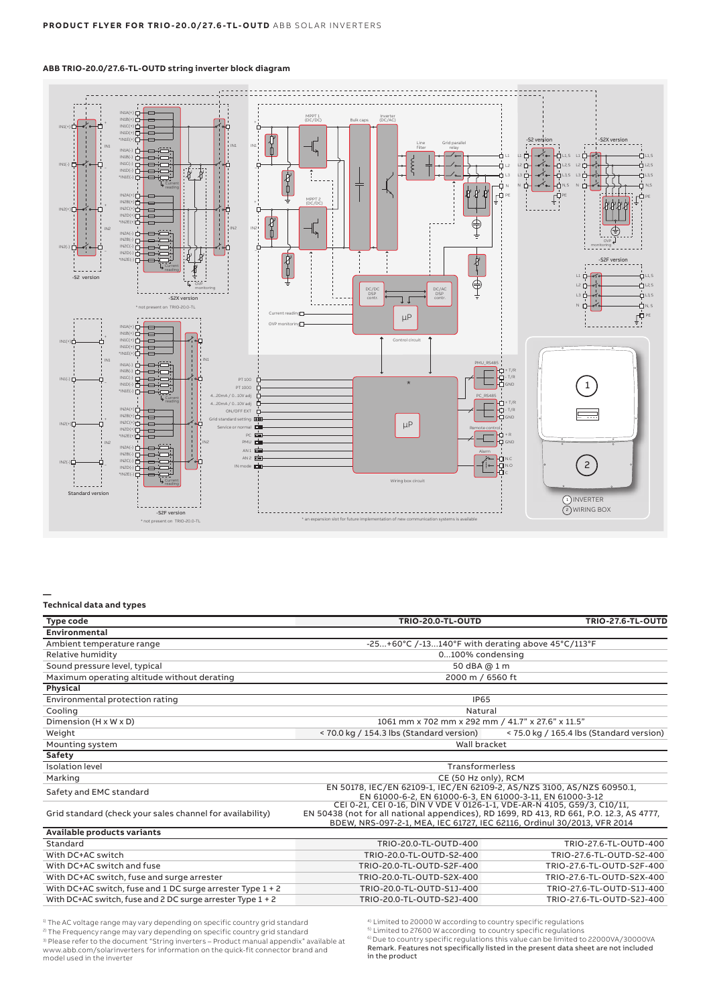# **ABB TRIO-20.0/27.6-TL-OUTD string inverter block diagram**



### **Technical data and types**

**—**

| <b>Type code</b>                                             | <b>TRIO-20.0-TL-OUTD</b>                                                                                                                                                                                                                       | <b>TRIO-27.6-TL-OUTD</b>                 |
|--------------------------------------------------------------|------------------------------------------------------------------------------------------------------------------------------------------------------------------------------------------------------------------------------------------------|------------------------------------------|
| Environmental                                                |                                                                                                                                                                                                                                                |                                          |
| Ambient temperature range                                    | -25+60°C /-13140°F with derating above $45^{\circ}$ C/113°F                                                                                                                                                                                    |                                          |
| Relative humidity                                            | 0100% condensing                                                                                                                                                                                                                               |                                          |
| Sound pressure level, typical                                | 50 dBA @ 1 m                                                                                                                                                                                                                                   |                                          |
| Maximum operating altitude without derating                  | 2000 m / 6560 ft                                                                                                                                                                                                                               |                                          |
| Physical                                                     |                                                                                                                                                                                                                                                |                                          |
| Environmental protection rating                              | <b>IP65</b>                                                                                                                                                                                                                                    |                                          |
| Cooling                                                      | Natural                                                                                                                                                                                                                                        |                                          |
| Dimension (H x W x D)                                        | 1061 mm x 702 mm x 292 mm / 41.7" x 27.6" x 11.5"                                                                                                                                                                                              |                                          |
| Weight                                                       | < 70.0 kg / 154.3 lbs (Standard version)                                                                                                                                                                                                       | < 75.0 kg / 165.4 lbs (Standard version) |
| Mounting system                                              | Wall bracket                                                                                                                                                                                                                                   |                                          |
| Safety                                                       |                                                                                                                                                                                                                                                |                                          |
| <b>Isolation level</b>                                       | Transformerless                                                                                                                                                                                                                                |                                          |
| Marking                                                      | CE (50 Hz only), RCM                                                                                                                                                                                                                           |                                          |
| Safety and EMC standard                                      | EN 50178, IEC/EN 62109-1, IEC/EN 62109-2, AS/NZS 3100, AS/NZS 60950.1,<br>EN 61000-6-2, EN 61000-6-3, EN 61000-3-11, EN 61000-3-12                                                                                                             |                                          |
| Grid standard (check your sales channel for availability)    | CEI 0-21, CEI 0-16, DIN V VDE V 0126-1-1, VDE-AR-N 4105, G59/3, C10/11,<br>EN 50438 (not for all national appendices), RD 1699, RD 413, RD 661, P.O. 12.3, AS 4777,<br>BDEW, NRS-097-2-1, MEA, IEC 61727, IEC 62116, Ordinul 30/2013, VFR 2014 |                                          |
| Available products variants                                  |                                                                                                                                                                                                                                                |                                          |
| Standard                                                     | TRIO-20.0-TL-OUTD-400                                                                                                                                                                                                                          | TRIO-27.6-TL-OUTD-400                    |
| With DC+AC switch                                            | TRIO-20.0-TL-OUTD-S2-400                                                                                                                                                                                                                       | TRIO-27.6-TL-OUTD-S2-400                 |
| With DC+AC switch and fuse                                   | TRIO-20.0-TL-OUTD-S2F-400                                                                                                                                                                                                                      | TRIO-27.6-TL-OUTD-S2F-400                |
| With DC+AC switch, fuse and surge arrester                   | TRIO-20.0-TL-OUTD-S2X-400                                                                                                                                                                                                                      | TRIO-27.6-TL-OUTD-S2X-400                |
| With DC+AC switch, fuse and 1 DC surge arrester Type 1 + 2   | TRIO-20.0-TL-OUTD-S1J-400                                                                                                                                                                                                                      | TRIO-27.6-TL-OUTD-S1J-400                |
| With DC+AC switch, fuse and 2 DC surge arrester Type $1 + 2$ | TRIO-20.0-TL-OUTD-S2J-400                                                                                                                                                                                                                      | TRIO-27.6-TL-OUTD-S2J-400                |
|                                                              |                                                                                                                                                                                                                                                |                                          |

<sup>1)</sup> The AC voltage range may vary depending on specific country grid standard 2) The Frequency range may vary depending on specific country grid standard  $^{\rm 3)}$  Please refer to the document "String inverters – Product manual appendix" available at<br>www.abb.com/solarinverters for information on the quick-fit connector brand and model used in the inverter

4) Limited to 20000 W according to country specific regulations

<sup>5)</sup> Limited to 27600 W according to country specific regulations<br><sup>6)</sup> Due to country specific regulations this value can be limited to 22000VA/30000VA Remark. Features not specifically listed in the present data sheet are not included in the product